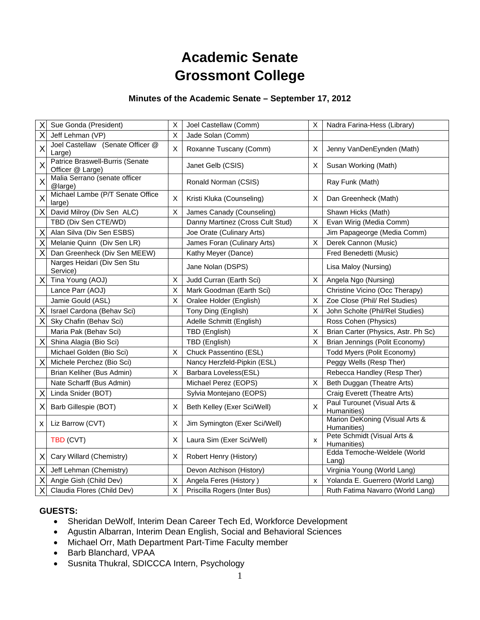# **Academic Senate Grossmont College**

## **Minutes of the Academic Senate – September 17, 2012**

| Χ                       | Sue Gonda (President)                               | Χ | Joel Castellaw (Comm)            | X                         | Nadra Farina-Hess (Library)                   |
|-------------------------|-----------------------------------------------------|---|----------------------------------|---------------------------|-----------------------------------------------|
| X                       | Jeff Lehman (VP)                                    | X | Jade Solan (Comm)                |                           |                                               |
| $\overline{\mathsf{x}}$ | Joel Castellaw (Senate Officer @<br>Large)          | X | Roxanne Tuscany (Comm)           | X                         | Jenny VanDenEynden (Math)                     |
| X                       | Patrice Braswell-Burris (Senate<br>Officer @ Large) |   | Janet Gelb (CSIS)                | X                         | Susan Working (Math)                          |
| X                       | Malia Serrano (senate officer<br>@large)            |   | Ronald Norman (CSIS)             |                           | Ray Funk (Math)                               |
| X                       | Michael Lambe (P/T Senate Office<br>large)          | X | Kristi Kluka (Counseling)        | X                         | Dan Greenheck (Math)                          |
| X                       | David Milroy (Div Sen ALC)                          | X | James Canady (Counseling)        |                           | Shawn Hicks (Math)                            |
|                         | TBD (Div Sen CTE/WD)                                |   | Danny Martinez (Cross Cult Stud) | $\sf X$                   | Evan Wirig (Media Comm)                       |
| X                       | Alan Silva (Div Sen ESBS)                           |   | Joe Orate (Culinary Arts)        |                           | Jim Papageorge (Media Comm)                   |
| X                       | Melanie Quinn (Div Sen LR)                          |   | James Foran (Culinary Arts)      | $\boldsymbol{\mathsf{X}}$ | Derek Cannon (Music)                          |
| X                       | Dan Greenheck (Div Sen MEEW)                        |   | Kathy Meyer (Dance)              |                           | Fred Benedetti (Music)                        |
|                         | Narges Heidari (Div Sen Stu<br>Service)             |   | Jane Nolan (DSPS)                |                           | Lisa Maloy (Nursing)                          |
| X                       | Tina Young (AOJ)                                    | X | Judd Curran (Earth Sci)          | X                         | Angela Ngo (Nursing)                          |
|                         | Lance Parr (AOJ)                                    | X | Mark Goodman (Earth Sci)         |                           | Christine Vicino (Occ Therapy)                |
|                         | Jamie Gould (ASL)                                   | X | Oralee Holder (English)          | X                         | Zoe Close (Phil/ Rel Studies)                 |
| Χ                       | Israel Cardona (Behav Sci)                          |   | Tony Ding (English)              | $\times$                  | John Scholte (Phil/Rel Studies)               |
| X                       | Sky Chafin (Behav Sci)                              |   | Adelle Schmitt (English)         |                           | Ross Cohen (Physics)                          |
|                         | Maria Pak (Behav Sci)                               |   | TBD (English)                    | $\sf X$                   | Brian Carter (Physics, Astr. Ph Sc)           |
| X                       | Shina Alagia (Bio Sci)                              |   | TBD (English)                    | $\boldsymbol{\mathsf{X}}$ | Brian Jennings (Polit Economy)                |
|                         | Michael Golden (Bio Sci)                            | X | Chuck Passentino (ESL)           |                           | Todd Myers (Polit Economy)                    |
| X                       | Michele Perchez (Bio Sci)                           |   | Nancy Herzfeld-Pipkin (ESL)      |                           | Peggy Wells (Resp Ther)                       |
|                         | Brian Keliher (Bus Admin)                           | X | Barbara Loveless(ESL)            |                           | Rebecca Handley (Resp Ther)                   |
|                         | Nate Scharff (Bus Admin)                            |   | Michael Perez (EOPS)             | X                         | Beth Duggan (Theatre Arts)                    |
| Χ                       | Linda Snider (BOT)                                  |   | Sylvia Montejano (EOPS)          |                           | Craig Everett (Theatre Arts)                  |
| Х                       | Barb Gillespie (BOT)                                | X | Beth Kelley (Exer Sci/Well)      | $\times$                  | Paul Turounet (Visual Arts &<br>Humanities)   |
| x                       | Liz Barrow (CVT)                                    | х | Jim Symington (Exer Sci/Well)    |                           | Marion DeKoning (Visual Arts &<br>Humanities) |
|                         | TBD (CVT)                                           | X | Laura Sim (Exer Sci/Well)        | x                         | Pete Schmidt (Visual Arts &<br>Humanities)    |
| X                       | Cary Willard (Chemistry)                            | х | Robert Henry (History)           |                           | Edda Temoche-Weldele (World<br>Lang)          |
| Χ                       | Jeff Lehman (Chemistry)                             |   | Devon Atchison (History)         |                           | Virginia Young (World Lang)                   |
| X                       | Angie Gish (Child Dev)                              | X | Angela Feres (History)           | x                         | Yolanda E. Guerrero (World Lang)              |
| Χ                       | Claudia Flores (Child Dev)                          | X | Priscilla Rogers (Inter Bus)     |                           | Ruth Fatima Navarro (World Lang)              |

## **GUESTS:**

- Sheridan DeWolf, Interim Dean Career Tech Ed, Workforce Development
- Agustin Albarran, Interim Dean English, Social and Behavioral Sciences
- Michael Orr, Math Department Part-Time Faculty member
- Barb Blanchard, VPAA
- Susnita Thukral, SDICCCA Intern, Psychology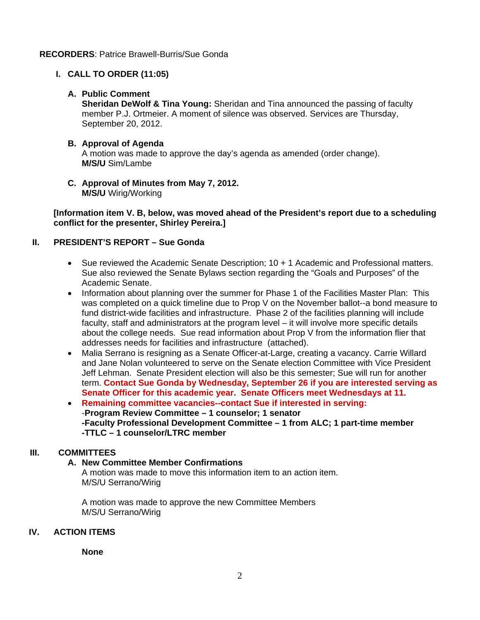#### **RECORDERS**: Patrice Brawell-Burris/Sue Gonda

## **I. CALL TO ORDER (11:05)**

## **A. Public Comment**

**Sheridan DeWolf & Tina Young:** Sheridan and Tina announced the passing of faculty member P.J. Ortmeier. A moment of silence was observed. Services are Thursday, September 20, 2012.

#### **B. Approval of Agenda**  A motion was made to approve the day's agenda as amended (order change). **M/S/U** Sim/Lambe

**C. Approval of Minutes from May 7, 2012. M/S/U** Wirig/Working

**[Information item V. B, below, was moved ahead of the President's report due to a scheduling conflict for the presenter, Shirley Pereira.]** 

## **II. PRESIDENT'S REPORT – Sue Gonda**

- Sue reviewed the Academic Senate Description; 10 + 1 Academic and Professional matters. Sue also reviewed the Senate Bylaws section regarding the "Goals and Purposes" of the Academic Senate.
- Information about planning over the summer for Phase 1 of the Facilities Master Plan: This was completed on a quick timeline due to Prop V on the November ballot--a bond measure to fund district-wide facilities and infrastructure. Phase 2 of the facilities planning will include faculty, staff and administrators at the program level – it will involve more specific details about the college needs. Sue read information about Prop V from the information flier that addresses needs for facilities and infrastructure (attached).
- Malia Serrano is resigning as a Senate Officer-at-Large, creating a vacancy. Carrie Willard and Jane Nolan volunteered to serve on the Senate election Committee with Vice President Jeff Lehman. Senate President election will also be this semester; Sue will run for another term. **Contact Sue Gonda by Wednesday, September 26 if you are interested serving as Senate Officer for this academic year. Senate Officers meet Wednesdays at 11.**
- **Remaining committee vacancies--contact Sue if interested in serving:** -**Program Review Committee – 1 counselor; 1 senator -Faculty Professional Development Committee – 1 from ALC; 1 part-time member -TTLC – 1 counselor/LTRC member**

# **III. COMMITTEES**

## **A. New Committee Member Confirmations**

A motion was made to move this information item to an action item. M/S/U Serrano/Wirig

A motion was made to approve the new Committee Members M/S/U Serrano/Wirig

## **IV. ACTION ITEMS**

**None**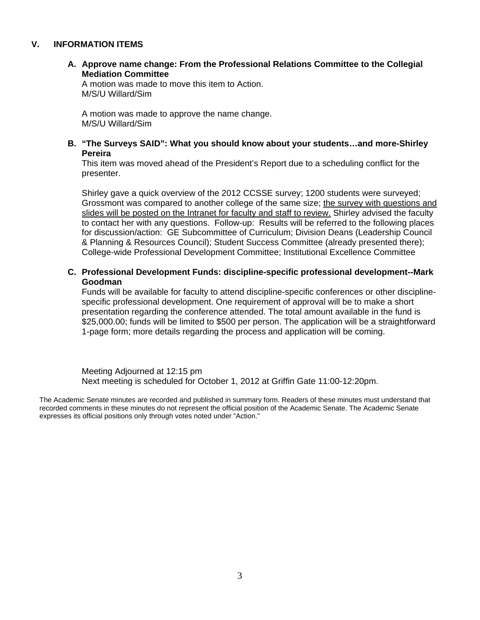#### **V. INFORMATION ITEMS**

**A. Approve name change: From the Professional Relations Committee to the Collegial Mediation Committee**

A motion was made to move this item to Action. M/S/U Willard/Sim

A motion was made to approve the name change. M/S/U Willard/Sim

#### **B. "The Surveys SAID": What you should know about your students…and more-Shirley Pereira**

This item was moved ahead of the President's Report due to a scheduling conflict for the presenter.

Shirley gave a quick overview of the 2012 CCSSE survey; 1200 students were surveyed; Grossmont was compared to another college of the same size; the survey with questions and slides will be posted on the Intranet for faculty and staff to review. Shirley advised the faculty to contact her with any questions. Follow-up: Results will be referred to the following places for discussion/action: GE Subcommittee of Curriculum; Division Deans (Leadership Council & Planning & Resources Council); Student Success Committee (already presented there); College-wide Professional Development Committee; Institutional Excellence Committee

#### **C. Professional Development Funds: discipline-specific professional development--Mark Goodman**

Funds will be available for faculty to attend discipline-specific conferences or other disciplinespecific professional development. One requirement of approval will be to make a short presentation regarding the conference attended. The total amount available in the fund is \$25,000.00; funds will be limited to \$500 per person. The application will be a straightforward 1-page form; more details regarding the process and application will be coming.

Meeting Adjourned at 12:15 pm Next meeting is scheduled for October 1, 2012 at Griffin Gate 11:00-12:20pm.

The Academic Senate minutes are recorded and published in summary form. Readers of these minutes must understand that recorded comments in these minutes do not represent the official position of the Academic Senate. The Academic Senate expresses its official positions only through votes noted under "Action."